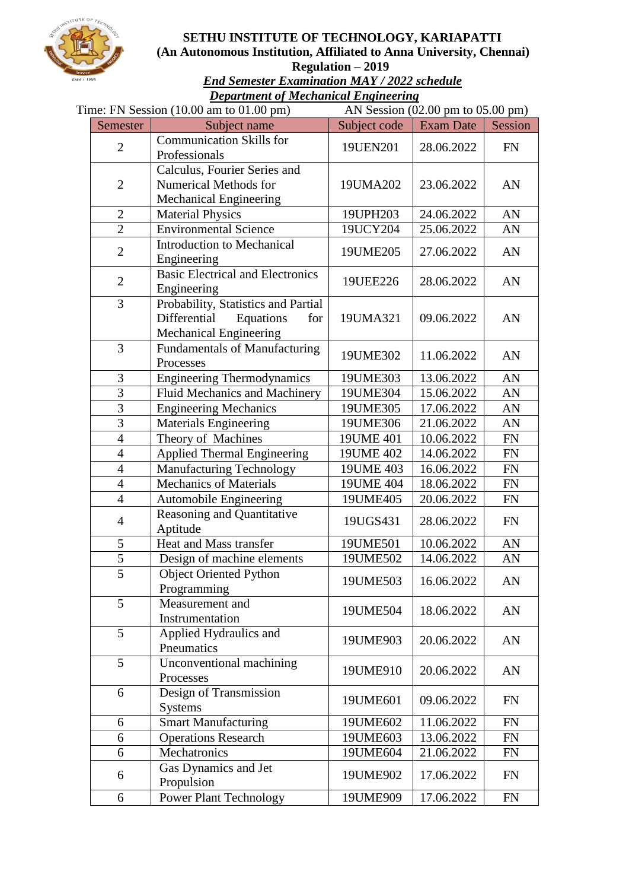

#### **SETHU INSTITUTE OF TECHNOLOGY, KARIAPATTI (An Autonomous Institution, Affiliated to Anna University, Chennai) Regulation – 2019**

*End Semester Examination MAY / 2022 schedule Department of Mechanical Engineering*

|                | Time: FN Session $(10.00 \text{ am to } 01.00 \text{ pm})$                                        |              | AN Session $(02.00 \text{ pm to } 05.00 \text{ pm})$ |            |  |  |
|----------------|---------------------------------------------------------------------------------------------------|--------------|------------------------------------------------------|------------|--|--|
| Semester       | Subject name                                                                                      | Subject code | <b>Exam Date</b>                                     | Session    |  |  |
| $\overline{2}$ | <b>Communication Skills for</b><br>Professionals                                                  | 19UEN201     | 28.06.2022                                           | <b>FN</b>  |  |  |
| $\overline{2}$ | Calculus, Fourier Series and<br>Numerical Methods for<br><b>Mechanical Engineering</b>            | 19UMA202     | 23.06.2022                                           | AN         |  |  |
| $\overline{2}$ | <b>Material Physics</b>                                                                           | 19UPH203     | 24.06.2022                                           | AN         |  |  |
| $\overline{2}$ | <b>Environmental Science</b>                                                                      | 19UCY204     | 25.06.2022                                           | AN         |  |  |
| $\overline{2}$ | <b>Introduction to Mechanical</b><br>Engineering                                                  | 19UME205     | 27.06.2022                                           | AN         |  |  |
| $\overline{2}$ | <b>Basic Electrical and Electronics</b><br>Engineering                                            | 19UEE226     | 28.06.2022                                           | AN         |  |  |
| 3              | Probability, Statistics and Partial<br>Differential<br>Equations<br>for<br>Mechanical Engineering | 19UMA321     | 09.06.2022                                           | AN         |  |  |
| 3              | Fundamentals of Manufacturing<br>Processes                                                        | 19UME302     | 11.06.2022                                           | AN         |  |  |
| 3              | <b>Engineering Thermodynamics</b>                                                                 | 19UME303     | 13.06.2022                                           | AN         |  |  |
| 3              | <b>Fluid Mechanics and Machinery</b>                                                              | 19UME304     | 15.06.2022                                           | AN         |  |  |
| 3              | <b>Engineering Mechanics</b>                                                                      | 19UME305     | 17.06.2022                                           | AN         |  |  |
| $\overline{3}$ | <b>Materials Engineering</b>                                                                      | 19UME306     | 21.06.2022                                           | AN         |  |  |
| $\overline{4}$ | Theory of Machines                                                                                | 19UME 401    | 10.06.2022                                           | ${\rm FN}$ |  |  |
| $\overline{4}$ | <b>Applied Thermal Engineering</b>                                                                | 19UME 402    | 14.06.2022                                           | ${\rm FN}$ |  |  |
| $\overline{4}$ | <b>Manufacturing Technology</b>                                                                   | 19UME 403    | 16.06.2022                                           | FN         |  |  |
| $\overline{4}$ | <b>Mechanics of Materials</b>                                                                     | 19UME 404    | 18.06.2022                                           | <b>FN</b>  |  |  |
| $\overline{4}$ | Automobile Engineering                                                                            | 19UME405     | 20.06.2022                                           | <b>FN</b>  |  |  |
| $\overline{4}$ | Reasoning and Quantitative<br>Aptitude                                                            | 19UGS431     | 28.06.2022                                           | <b>FN</b>  |  |  |
| 5              | Heat and Mass transfer                                                                            | 19UME501     | 10.06.2022                                           | AN         |  |  |
| 5              | Design of machine elements                                                                        | 19UME502     | 14.06.2022                                           | AN         |  |  |
| $\overline{5}$ | <b>Object Oriented Python</b><br>Programming                                                      | 19UME503     | 16.06.2022                                           | AN         |  |  |
| 5              | Measurement and<br>Instrumentation                                                                | 19UME504     | 18.06.2022                                           | AN         |  |  |
| 5              | Applied Hydraulics and<br>Pneumatics                                                              | 19UME903     | 20.06.2022                                           | AN         |  |  |
| 5              | Unconventional machining<br>Processes                                                             | 19UME910     | 20.06.2022                                           | AN         |  |  |
| 6              | Design of Transmission<br><b>Systems</b>                                                          | 19UME601     | 09.06.2022                                           | <b>FN</b>  |  |  |
| 6              | <b>Smart Manufacturing</b>                                                                        | 19UME602     | 11.06.2022                                           | <b>FN</b>  |  |  |
| 6              | <b>Operations Research</b>                                                                        | 19UME603     | 13.06.2022                                           | FN         |  |  |
| 6              | Mechatronics                                                                                      | 19UME604     | 21.06.2022                                           | <b>FN</b>  |  |  |
| 6              | Gas Dynamics and Jet<br>Propulsion                                                                | 19UME902     | 17.06.2022                                           | <b>FN</b>  |  |  |
| 6              | <b>Power Plant Technology</b>                                                                     | 19UME909     | 17.06.2022                                           | FN         |  |  |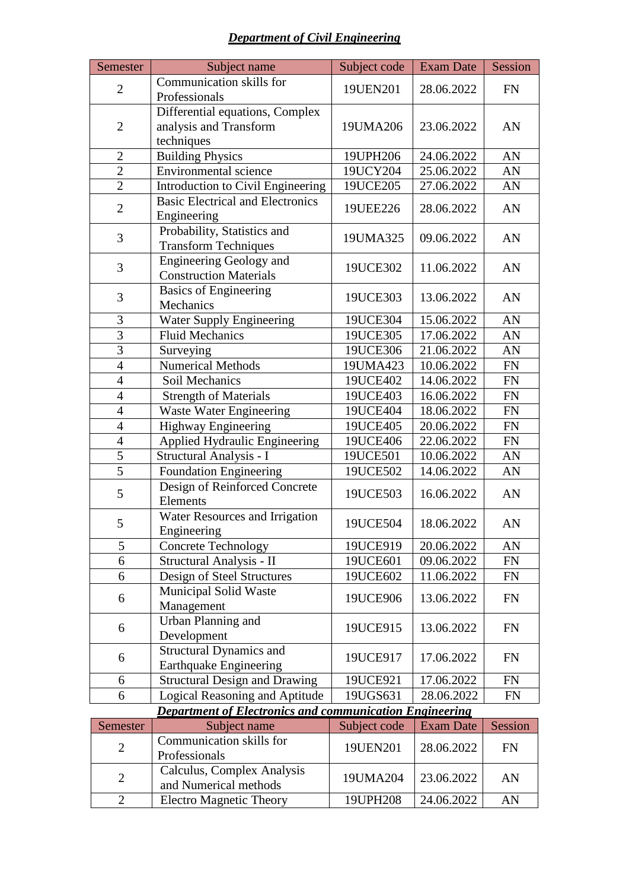#### *Department of Civil Engineering*

| Semester                     | Subject name                                                                             | Subject code                     | <b>Exam Date</b> | Session                          |
|------------------------------|------------------------------------------------------------------------------------------|----------------------------------|------------------|----------------------------------|
| $\overline{2}$               | Communication skills for                                                                 | 19UEN201                         | 28.06.2022       | <b>FN</b>                        |
|                              | Professionals                                                                            |                                  |                  |                                  |
|                              | Differential equations, Complex                                                          |                                  |                  |                                  |
| $\overline{2}$               | analysis and Transform                                                                   | 19UMA206                         | 23.06.2022       | AN                               |
|                              | techniques                                                                               |                                  |                  |                                  |
| $\overline{2}$               | <b>Building Physics</b>                                                                  | 19UPH206                         | 24.06.2022       | AN                               |
| $\overline{2}$               | <b>Environmental science</b>                                                             | 19UCY204                         | 25.06.2022       | AN                               |
| $\overline{2}$               | Introduction to Civil Engineering                                                        | 19UCE205                         | 27.06.2022       | AN                               |
| $\overline{2}$               | <b>Basic Electrical and Electronics</b>                                                  | 19UEE226                         | 28.06.2022       | AN                               |
|                              | Engineering                                                                              |                                  |                  |                                  |
| 3                            | Probability, Statistics and                                                              | 19UMA325                         | 09.06.2022       | AN                               |
|                              | <b>Transform Techniques</b>                                                              |                                  |                  |                                  |
| 3                            | <b>Engineering Geology and</b>                                                           | 19UCE302                         | 11.06.2022       | AN                               |
|                              | <b>Construction Materials</b>                                                            |                                  |                  |                                  |
| 3                            | <b>Basics of Engineering</b><br>Mechanics                                                | 19UCE303                         | 13.06.2022       | AN                               |
| 3                            | Water Supply Engineering                                                                 | 19UCE304                         | 15.06.2022       | AN                               |
| $\overline{3}$               | <b>Fluid Mechanics</b>                                                                   | 19UCE305                         | 17.06.2022       | AN                               |
| $\overline{3}$               | Surveying                                                                                | 19UCE306                         | 21.06.2022       | AN                               |
| $\overline{4}$               | <b>Numerical Methods</b>                                                                 | 19UMA423                         | 10.06.2022       | FN                               |
| $\overline{4}$               | Soil Mechanics                                                                           | 19UCE402                         | 14.06.2022       | <b>FN</b>                        |
| $\overline{4}$               | <b>Strength of Materials</b>                                                             | 19UCE403                         | 16.06.2022       | <b>FN</b>                        |
| $\overline{4}$               | <b>Waste Water Engineering</b>                                                           | 19UCE404                         | 18.06.2022       | <b>FN</b>                        |
| $\overline{4}$               | <b>Highway Engineering</b>                                                               | 19UCE405                         | 20.06.2022       | <b>FN</b>                        |
| $\overline{4}$               | Applied Hydraulic Engineering                                                            | 19UCE406                         | 22.06.2022       | FN                               |
| 5                            | Structural Analysis - I                                                                  | 19UCE501                         | 10.06.2022       | AN                               |
| $\overline{5}$               | <b>Foundation Engineering</b>                                                            | 19UCE502                         | 14.06.2022       | AN                               |
|                              | Design of Reinforced Concrete                                                            |                                  |                  |                                  |
| 5                            | Elements                                                                                 | 19UCE503                         | 16.06.2022       | AN                               |
|                              | Water Resources and Irrigation                                                           |                                  |                  |                                  |
| 5                            | Engineering                                                                              | 19UCE504                         | 18.06.2022       | AN                               |
| 5                            | <b>Concrete Technology</b>                                                               | 19UCE919                         | 20.06.2022       | AN                               |
| 6                            | Structural Analysis - II                                                                 | 19UCE601                         | 09.06.2022       | FN                               |
| 6                            | Design of Steel Structures                                                               | 19UCE602                         | 11.06.2022       | FN                               |
| 6                            | <b>Municipal Solid Waste</b>                                                             | 19UCE906                         | 13.06.2022       | <b>FN</b>                        |
|                              | Management                                                                               |                                  |                  |                                  |
| 6                            | Urban Planning and                                                                       | 19UCE915                         | 13.06.2022       | FN                               |
|                              | Development                                                                              |                                  |                  |                                  |
| 6                            | <b>Structural Dynamics and</b>                                                           | 19UCE917                         | 17.06.2022       | <b>FN</b>                        |
|                              | <b>Earthquake Engineering</b>                                                            |                                  |                  |                                  |
| 6                            | <b>Structural Design and Drawing</b>                                                     | 19UCE921                         | 17.06.2022       | <b>FN</b>                        |
| 6                            | Logical Reasoning and Aptitude                                                           | 19UGS631                         | 28.06.2022       | <b>FN</b>                        |
| $\mathcal{R}_{\text{amoot}}$ | <b>Department of Electronics and communication Engineering</b><br>$Subi$ $\alpha t$ name | $Subiact, code \mid Even \; Dot$ |                  | $S_{\alpha\alpha\alpha i\sigma}$ |

| Semester       | Subject name                                        | Subject code | <b>Exam Date</b> | Session |
|----------------|-----------------------------------------------------|--------------|------------------|---------|
| $\overline{2}$ | Communication skills for<br>Professionals           | 19UEN201     | 28.06.2022       | FN      |
| $\overline{2}$ | Calculus, Complex Analysis<br>and Numerical methods | 19UMA204     | 23.06.2022       | AN      |
|                | <b>Electro Magnetic Theory</b>                      | 19UPH208     | 24.06.2022       | AN      |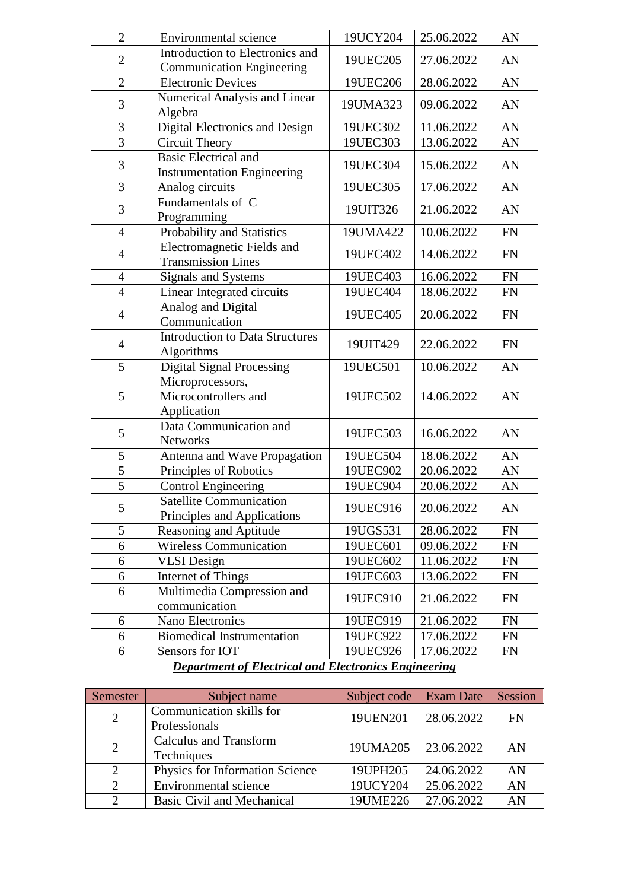| $\overline{2}$ | <b>Environmental</b> science                                      | 19UCY204          | 25.06.2022 | AN         |
|----------------|-------------------------------------------------------------------|-------------------|------------|------------|
| $\overline{2}$ | Introduction to Electronics and                                   | 19UEC205          | 27.06.2022 | AN         |
|                | <b>Communication Engineering</b>                                  |                   |            |            |
| $\overline{2}$ | <b>Electronic Devices</b>                                         | 19UEC206          | 28.06.2022 | AN         |
| 3              | Numerical Analysis and Linear<br>Algebra                          | 19UMA323          | 09.06.2022 | AN         |
| 3              | Digital Electronics and Design                                    | 19UEC302          | 11.06.2022 | AN         |
| 3              | <b>Circuit Theory</b>                                             | 19UEC303          | 13.06.2022 | AN         |
| $\mathfrak{Z}$ | <b>Basic Electrical and</b><br><b>Instrumentation Engineering</b> | 19UEC304          | 15.06.2022 | AN         |
| $\overline{3}$ | Analog circuits                                                   | 19UEC305          | 17.06.2022 | AN         |
| 3              | Fundamentals of C<br>Programming                                  | 19UIT326          | 21.06.2022 | AN         |
| $\overline{4}$ | Probability and Statistics                                        | 19UMA422          | 10.06.2022 | <b>FN</b>  |
| $\overline{4}$ | Electromagnetic Fields and<br><b>Transmission Lines</b>           | 19UEC402          | 14.06.2022 | <b>FN</b>  |
| $\overline{4}$ | Signals and Systems                                               | 19UEC403          | 16.06.2022 | FN         |
| $\overline{4}$ | Linear Integrated circuits                                        | 19UEC404          | 18.06.2022 | ${\rm FN}$ |
| $\overline{4}$ | Analog and Digital<br>Communication                               | 19UEC405          | 20.06.2022 | <b>FN</b>  |
| $\overline{4}$ | <b>Introduction to Data Structures</b><br>Algorithms              | 19UIT429          | 22.06.2022 | <b>FN</b>  |
| 5              | <b>Digital Signal Processing</b>                                  | 19UEC501          | 10.06.2022 | AN         |
| 5              | Microprocessors,<br>Microcontrollers and<br>Application           | 19UEC502          | 14.06.2022 | AN         |
| 5              | Data Communication and<br><b>Networks</b>                         | 19UEC503          | 16.06.2022 | AN         |
| 5              | Antenna and Wave Propagation                                      | 19UEC504          | 18.06.2022 | AN         |
| 5              | Principles of Robotics                                            | 19UEC902          | 20.06.2022 | AN         |
| $\overline{5}$ | <b>Control Engineering</b>                                        | 19UEC904          | 20.06.2022 | AN         |
| 5              | <b>Satellite Communication</b><br>Principles and Applications     | 19UEC916          | 20.06.2022 | AN         |
| 5              | Reasoning and Aptitude                                            | 19UGS531          | 28.06.2022 | <b>FN</b>  |
| 6              | <b>Wireless Communication</b>                                     | 19UEC601          | 09.06.2022 | <b>FN</b>  |
| 6              | <b>VLSI</b> Design                                                | 19UEC602          | 11.06.2022 | <b>FN</b>  |
| 6              | Internet of Things                                                | 19UEC603          | 13.06.2022 | <b>FN</b>  |
| 6              | Multimedia Compression and<br>communication                       | 19UEC910          | 21.06.2022 | <b>FN</b>  |
| 6              | Nano Electronics                                                  | 19UEC919          | 21.06.2022 | <b>FN</b>  |
| 6              | <b>Biomedical Instrumentation</b>                                 | 19UEC922          | 17.06.2022 | FN         |
| 6              | Sensors for IOT<br>$CDL = L$<br>$\mathbf{I}$                      | 19UEC926<br>1 T.L | 17.06.2022 | FN         |

#### *Department of Electrical and Electronics Engineering*

| Semester                    | Subject name                                | Subject code   Exam Date |            | Session   |
|-----------------------------|---------------------------------------------|--------------------------|------------|-----------|
| $\overline{2}$              | Communication skills for<br>Professionals   | 19UEN201                 | 28.06.2022 | <b>FN</b> |
| 2                           | <b>Calculus and Transform</b><br>Techniques | 19UMA205                 | 23.06.2022 | AN        |
| $\overline{2}$              | Physics for Information Science             | 19UPH205                 | 24.06.2022 | AN        |
| 2                           | Environmental science                       | 19UCY204                 | 25.06.2022 | AN        |
| $\mathcal{D}_{\mathcal{L}}$ | Basic Civil and Mechanical                  | 19UME226                 | 27.06.2022 | AN        |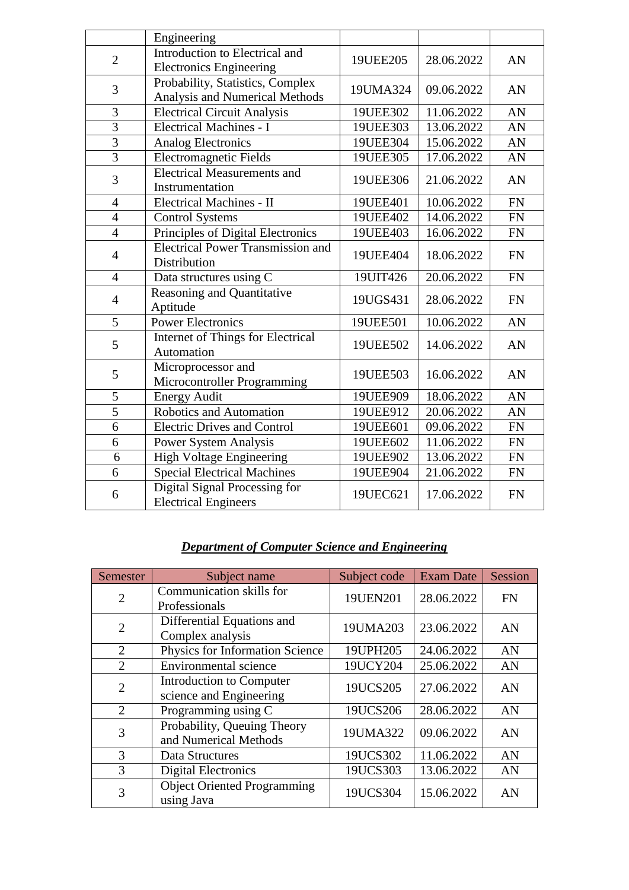|                | Engineering                              |          |            |           |
|----------------|------------------------------------------|----------|------------|-----------|
| $\overline{2}$ | Introduction to Electrical and           | 19UEE205 | 28.06.2022 | AN        |
|                | <b>Electronics Engineering</b>           |          |            |           |
| 3              | Probability, Statistics, Complex         | 19UMA324 | 09.06.2022 | AN        |
|                | Analysis and Numerical Methods           |          |            |           |
| 3              | <b>Electrical Circuit Analysis</b>       | 19UEE302 | 11.06.2022 | AN        |
| $\overline{3}$ | <b>Electrical Machines - I</b>           | 19UEE303 | 13.06.2022 | AN        |
| $\overline{3}$ | <b>Analog Electronics</b>                | 19UEE304 | 15.06.2022 | AN        |
| $\overline{3}$ | <b>Electromagnetic Fields</b>            | 19UEE305 | 17.06.2022 | AN        |
| 3              | <b>Electrical Measurements and</b>       | 19UEE306 | 21.06.2022 | AN        |
|                | Instrumentation                          |          |            |           |
| $\overline{4}$ | Electrical Machines - II                 | 19UEE401 | 10.06.2022 | <b>FN</b> |
| $\overline{4}$ | <b>Control Systems</b>                   | 19UEE402 | 14.06.2022 | <b>FN</b> |
| $\overline{4}$ | Principles of Digital Electronics        | 19UEE403 | 16.06.2022 | <b>FN</b> |
| $\overline{4}$ | <b>Electrical Power Transmission and</b> | 19UEE404 | 18.06.2022 | <b>FN</b> |
|                | Distribution                             |          |            |           |
| $\overline{4}$ | Data structures using C                  | 19UIT426 | 20.06.2022 | <b>FN</b> |
| $\overline{4}$ | Reasoning and Quantitative               | 19UGS431 | 28.06.2022 | <b>FN</b> |
|                | Aptitude                                 |          |            |           |
| 5              | <b>Power Electronics</b>                 | 19UEE501 | 10.06.2022 | AN        |
| 5              | Internet of Things for Electrical        | 19UEE502 | 14.06.2022 | AN        |
|                | Automation                               |          |            |           |
| 5              | Microprocessor and                       | 19UEE503 | 16.06.2022 | AN        |
|                | Microcontroller Programming              |          |            |           |
| $\overline{5}$ | <b>Energy Audit</b>                      | 19UEE909 | 18.06.2022 | AN        |
| $\overline{5}$ | Robotics and Automation                  | 19UEE912 | 20.06.2022 | AN        |
| 6              | <b>Electric Drives and Control</b>       | 19UEE601 | 09.06.2022 | <b>FN</b> |
| $\overline{6}$ | <b>Power System Analysis</b>             | 19UEE602 | 11.06.2022 | <b>FN</b> |
| 6              | <b>High Voltage Engineering</b>          | 19UEE902 | 13.06.2022 | <b>FN</b> |
| 6              | <b>Special Electrical Machines</b>       | 19UEE904 | 21.06.2022 | <b>FN</b> |
| 6              | Digital Signal Processing for            | 19UEC621 | 17.06.2022 | <b>FN</b> |
|                | <b>Electrical Engineers</b>              |          |            |           |

## *Department of Computer Science and Engineering*

| Semester       | Subject name                                         | Subject code | <b>Exam Date</b> | Session   |
|----------------|------------------------------------------------------|--------------|------------------|-----------|
| $\overline{2}$ | Communication skills for<br>Professionals            | 19UEN201     | 28.06.2022       | <b>FN</b> |
| $\overline{2}$ | Differential Equations and<br>Complex analysis       | 19UMA203     | 23.06.2022       | AN        |
| $\overline{2}$ | Physics for Information Science                      | 19UPH205     | 24.06.2022       | AN        |
| $\overline{2}$ | Environmental science                                | 19UCY204     | 25.06.2022       | AN        |
| $\overline{2}$ | Introduction to Computer<br>science and Engineering  | 19UCS205     | 27.06.2022       | AN        |
| $\overline{2}$ | Programming using C                                  | 19UCS206     | 28.06.2022       | AN        |
| 3              | Probability, Queuing Theory<br>and Numerical Methods | 19UMA322     | 09.06.2022       | AN        |
| 3              | Data Structures                                      | 19UCS302     | 11.06.2022       | AN        |
| 3              | <b>Digital Electronics</b>                           | 19UCS303     | 13.06.2022       | AN        |
| 3              | <b>Object Oriented Programming</b><br>using Java     | 19UCS304     | 15.06.2022       | AN        |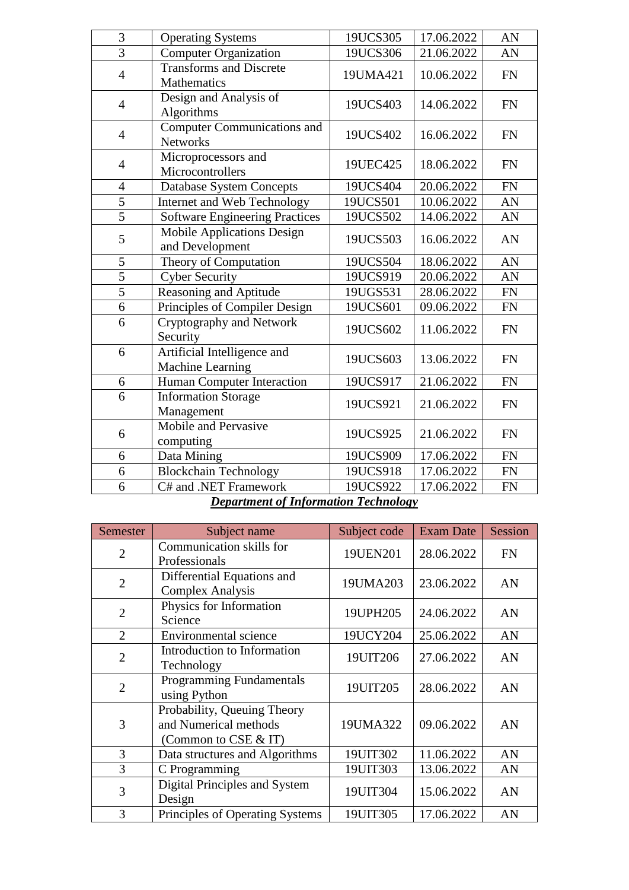| 3              | <b>Operating Systems</b>                              | 19UCS305 | 17.06.2022 | AN        |
|----------------|-------------------------------------------------------|----------|------------|-----------|
| $\overline{3}$ | <b>Computer Organization</b>                          | 19UCS306 | 21.06.2022 | AN        |
| $\overline{4}$ | <b>Transforms and Discrete</b><br>Mathematics         | 19UMA421 | 10.06.2022 | <b>FN</b> |
| $\overline{4}$ | Design and Analysis of<br>Algorithms                  | 19UCS403 | 14.06.2022 | <b>FN</b> |
| $\overline{4}$ | <b>Computer Communications and</b><br><b>Networks</b> | 19UCS402 | 16.06.2022 | <b>FN</b> |
| $\overline{4}$ | Microprocessors and<br>Microcontrollers               | 19UEC425 | 18.06.2022 | <b>FN</b> |
| $\overline{4}$ | <b>Database System Concepts</b>                       | 19UCS404 | 20.06.2022 | <b>FN</b> |
| 5              | Internet and Web Technology                           | 19UCS501 | 10.06.2022 | AN        |
| $\overline{5}$ | <b>Software Engineering Practices</b>                 | 19UCS502 | 14.06.2022 | AN        |
| 5              | Mobile Applications Design<br>and Development         | 19UCS503 | 16.06.2022 | AN        |
| 5              | Theory of Computation                                 | 19UCS504 | 18.06.2022 | AN        |
| $\overline{5}$ | <b>Cyber Security</b>                                 | 19UCS919 | 20.06.2022 | AN        |
| $\overline{5}$ | Reasoning and Aptitude                                | 19UGS531 | 28.06.2022 | <b>FN</b> |
| 6              | Principles of Compiler Design                         | 19UCS601 | 09.06.2022 | <b>FN</b> |
| 6              | Cryptography and Network<br>Security                  | 19UCS602 | 11.06.2022 | <b>FN</b> |
| 6              | Artificial Intelligence and<br>Machine Learning       | 19UCS603 | 13.06.2022 | <b>FN</b> |
| 6              | Human Computer Interaction                            | 19UCS917 | 21.06.2022 | <b>FN</b> |
| 6              | <b>Information Storage</b><br>Management              | 19UCS921 | 21.06.2022 | <b>FN</b> |
| 6              | Mobile and Pervasive<br>computing                     | 19UCS925 | 21.06.2022 | <b>FN</b> |
| 6              | Data Mining                                           | 19UCS909 | 17.06.2022 | <b>FN</b> |
| 6              | <b>Blockchain Technology</b>                          | 19UCS918 | 17.06.2022 | <b>FN</b> |
| 6              | C# and .NET Framework                                 | 19UCS922 | 17.06.2022 | <b>FN</b> |

*Department of Information Technology*

| Semester       | Subject name                                                                      | Subject code | <b>Exam Date</b> | Session   |
|----------------|-----------------------------------------------------------------------------------|--------------|------------------|-----------|
| $\overline{2}$ | Communication skills for<br>Professionals                                         | 19UEN201     | 28.06.2022       | <b>FN</b> |
| $\overline{2}$ | Differential Equations and<br><b>Complex Analysis</b>                             | 19UMA203     | 23.06.2022       | AN        |
| $\overline{2}$ | Physics for Information<br>Science                                                | 19UPH205     | 24.06.2022       | AN        |
| $\overline{2}$ | Environmental science                                                             | 19UCY204     | 25.06.2022       | AN        |
| $\overline{2}$ | Introduction to Information<br>Technology                                         | 19UIT206     | 27.06.2022       | AN        |
| $\overline{2}$ | Programming Fundamentals<br>using Python                                          | 19UIT205     | 28.06.2022       | AN        |
| 3              | Probability, Queuing Theory<br>and Numerical methods<br>(Common to $CSE \& \Pi$ ) | 19UMA322     | 09.06.2022       | AN        |
| 3              | Data structures and Algorithms                                                    | 19UIT302     | 11.06.2022       | AN        |
| 3              | C Programming                                                                     | 19UIT303     | 13.06.2022       | AN        |
| 3              | Digital Principles and System<br>Design                                           | 19UIT304     | 15.06.2022       | AN        |
| 3              | Principles of Operating Systems                                                   | 19UIT305     | 17.06.2022       | AN        |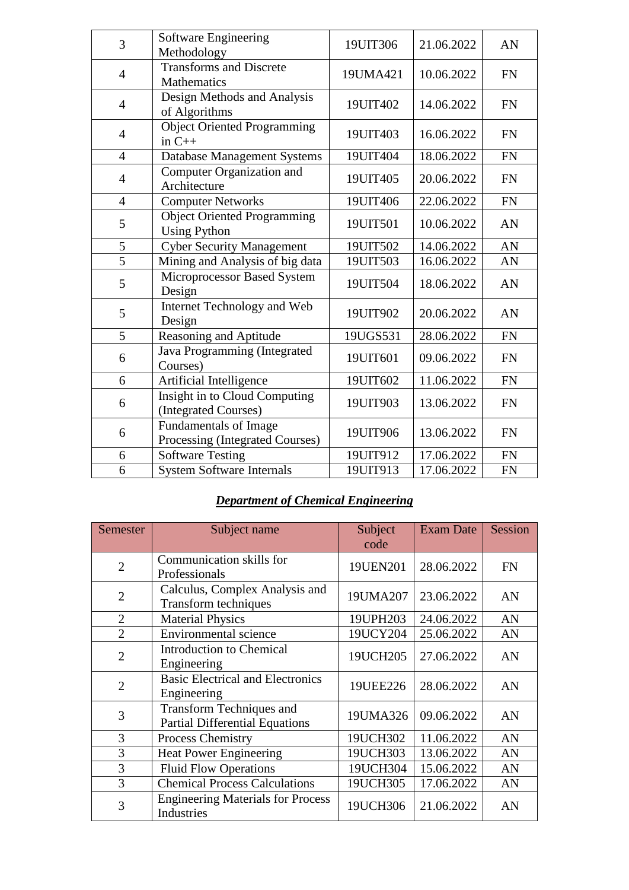| 3              | Software Engineering<br>Methodology                       | 19UIT306 | 21.06.2022 | AN        |
|----------------|-----------------------------------------------------------|----------|------------|-----------|
| $\overline{4}$ | <b>Transforms and Discrete</b><br><b>Mathematics</b>      | 19UMA421 | 10.06.2022 | <b>FN</b> |
| $\overline{4}$ | Design Methods and Analysis<br>of Algorithms              | 19UIT402 | 14.06.2022 | <b>FN</b> |
| $\overline{4}$ | <b>Object Oriented Programming</b><br>in $C++$            | 19UIT403 | 16.06.2022 | <b>FN</b> |
| $\overline{4}$ | <b>Database Management Systems</b>                        | 19UIT404 | 18.06.2022 | <b>FN</b> |
| $\overline{4}$ | Computer Organization and<br>Architecture                 | 19UIT405 | 20.06.2022 | <b>FN</b> |
| $\overline{4}$ | <b>Computer Networks</b>                                  | 19UIT406 | 22.06.2022 | <b>FN</b> |
| 5              | <b>Object Oriented Programming</b><br><b>Using Python</b> | 19UIT501 | 10.06.2022 | AN        |
| 5              | <b>Cyber Security Management</b>                          | 19UIT502 | 14.06.2022 | AN        |
| $\overline{5}$ | Mining and Analysis of big data                           | 19UIT503 | 16.06.2022 | AN        |
| 5              | Microprocessor Based System<br>Design                     | 19UIT504 | 18.06.2022 | AN        |
| 5              | Internet Technology and Web<br>Design                     | 19UIT902 | 20.06.2022 | AN        |
| $\overline{5}$ | Reasoning and Aptitude                                    | 19UGS531 | 28.06.2022 | <b>FN</b> |
| 6              | Java Programming (Integrated<br>Courses)                  | 19UIT601 | 09.06.2022 | <b>FN</b> |
| 6              | Artificial Intelligence                                   | 19UIT602 | 11.06.2022 | <b>FN</b> |
| 6              | Insight in to Cloud Computing<br>(Integrated Courses)     | 19UIT903 | 13.06.2022 | <b>FN</b> |
| 6              | Fundamentals of Image<br>Processing (Integrated Courses)  | 19UIT906 | 13.06.2022 | <b>FN</b> |
| 6              | <b>Software Testing</b>                                   | 19UIT912 | 17.06.2022 | <b>FN</b> |
| 6              | <b>System Software Internals</b>                          | 19UIT913 | 17.06.2022 | <b>FN</b> |

## *Department of Chemical Engineering*

| Semester       | Subject name                                                             | Subject<br>code | <b>Exam Date</b> | Session   |
|----------------|--------------------------------------------------------------------------|-----------------|------------------|-----------|
| $\overline{2}$ | Communication skills for<br>Professionals                                | 19UEN201        | 28.06.2022       | <b>FN</b> |
| $\overline{2}$ | Calculus, Complex Analysis and<br>Transform techniques                   | 19UMA207        | 23.06.2022       | AN        |
| $\overline{2}$ | <b>Material Physics</b>                                                  | 19UPH203        | 24.06.2022       | AN        |
| $\overline{2}$ | Environmental science                                                    | 19UCY204        | 25.06.2022       | AN        |
| $\overline{2}$ | <b>Introduction to Chemical</b><br>Engineering                           | 19UCH205        | 27.06.2022       | AN        |
| 2              | <b>Basic Electrical and Electronics</b><br>Engineering                   | 19UEE226        | 28.06.2022       | AN        |
| 3              | <b>Transform Techniques and</b><br><b>Partial Differential Equations</b> | 19UMA326        | 09.06.2022       | AN        |
| 3              | Process Chemistry                                                        | 19UCH302        | 11.06.2022       | AN        |
| 3              | Heat Power Engineering                                                   | 19UCH303        | 13.06.2022       | AN        |
| 3              | <b>Fluid Flow Operations</b>                                             | 19UCH304        | 15.06.2022       | AN        |
| 3              | <b>Chemical Process Calculations</b>                                     | 19UCH305        | 17.06.2022       | AN        |
| 3              | <b>Engineering Materials for Process</b><br>Industries                   | 19UCH306        | 21.06.2022       | AN        |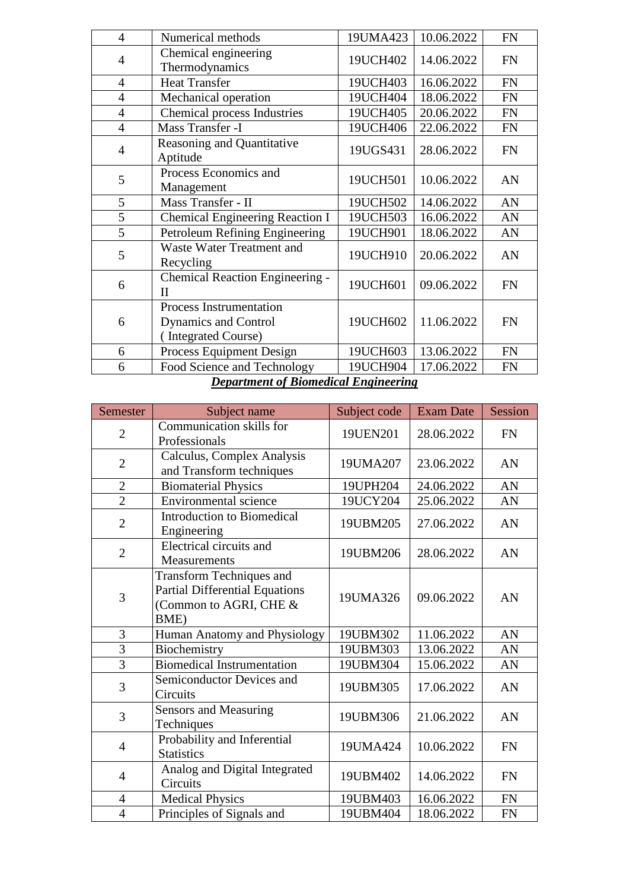| $\overline{4}$ | Numerical methods                                                             | 19UMA423 | 10.06.2022 | <b>FN</b> |
|----------------|-------------------------------------------------------------------------------|----------|------------|-----------|
| $\overline{4}$ | Chemical engineering<br>Thermodynamics                                        | 19UCH402 | 14.06.2022 | <b>FN</b> |
| $\overline{4}$ | <b>Heat Transfer</b>                                                          | 19UCH403 | 16.06.2022 | <b>FN</b> |
| $\overline{4}$ | Mechanical operation                                                          | 19UCH404 | 18.06.2022 | <b>FN</b> |
| $\overline{4}$ | <b>Chemical process Industries</b>                                            | 19UCH405 | 20.06.2022 | <b>FN</b> |
| $\overline{4}$ | Mass Transfer -I                                                              | 19UCH406 | 22.06.2022 | <b>FN</b> |
| $\overline{4}$ | <b>Reasoning and Quantitative</b><br>Aptitude                                 | 19UGS431 | 28.06.2022 | <b>FN</b> |
| 5              | Process Economics and<br>Management                                           | 19UCH501 | 10.06.2022 | AN        |
| 5              | Mass Transfer - II                                                            | 19UCH502 | 14.06.2022 | AN        |
| 5              | <b>Chemical Engineering Reaction I</b>                                        | 19UCH503 | 16.06.2022 | AN        |
| 5              | Petroleum Refining Engineering                                                | 19UCH901 | 18.06.2022 | AN        |
| 5              | Waste Water Treatment and<br>Recycling                                        | 19UCH910 | 20.06.2022 | AN        |
| 6              | Chemical Reaction Engineering -<br>$_{\rm II}$                                | 19UCH601 | 09.06.2022 | <b>FN</b> |
| 6              | Process Instrumentation<br><b>Dynamics and Control</b><br>(Integrated Course) | 19UCH602 | 11.06.2022 | <b>FN</b> |
| 6              | Process Equipment Design                                                      | 19UCH603 | 13.06.2022 | <b>FN</b> |
| 6              | Food Science and Technology                                                   | 19UCH904 | 17.06.2022 | <b>FN</b> |
|                |                                                                               |          |            |           |

#### *Department of Biomedical Engineering*

| <b>Semester</b> | Subject name                                                                                               | Subject code | <b>Exam Date</b> | Session   |
|-----------------|------------------------------------------------------------------------------------------------------------|--------------|------------------|-----------|
| $\overline{2}$  | Communication skills for<br>Professionals                                                                  | 19UEN201     | 28.06.2022       | <b>FN</b> |
| $\overline{2}$  | Calculus, Complex Analysis<br>and Transform techniques                                                     |              | 23.06.2022       | AN        |
| $\mathbf{2}$    | <b>Biomaterial Physics</b>                                                                                 | 19UPH204     | 24.06.2022       | AN        |
| $\overline{2}$  | <b>Environmental</b> science                                                                               | 19UCY204     | 25.06.2022       | AN        |
| $\overline{2}$  | <b>Introduction to Biomedical</b><br>Engineering                                                           | 19UBM205     | 27.06.2022       | AN        |
| $\overline{2}$  | Electrical circuits and<br>Measurements                                                                    | 19UBM206     | 28.06.2022       | AN        |
| 3               | <b>Transform Techniques and</b><br><b>Partial Differential Equations</b><br>(Common to AGRI, CHE &<br>BME) | 19UMA326     | 09.06.2022       | AN        |
| 3               | Human Anatomy and Physiology                                                                               | 19UBM302     | 11.06.2022       | AN        |
| $\overline{3}$  | Biochemistry                                                                                               | 19UBM303     | 13.06.2022       | AN        |
| $\overline{3}$  | Biomedical Instrumentation                                                                                 | 19UBM304     | 15.06.2022       | AN        |
| 3               | Semiconductor Devices and<br>Circuits                                                                      | 19UBM305     | 17.06.2022       | AN        |
| 3               | <b>Sensors and Measuring</b><br>Techniques                                                                 |              | 21.06.2022       | AN        |
| $\overline{4}$  | Probability and Inferential<br><b>Statistics</b>                                                           |              | 10.06.2022       | <b>FN</b> |
| $\overline{4}$  | Analog and Digital Integrated<br>Circuits                                                                  |              | 14.06.2022       | <b>FN</b> |
| $\overline{4}$  | <b>Medical Physics</b>                                                                                     | 19UBM403     | 16.06.2022       | <b>FN</b> |
| $\overline{4}$  | Principles of Signals and                                                                                  | 19UBM404     | 18.06.2022       | <b>FN</b> |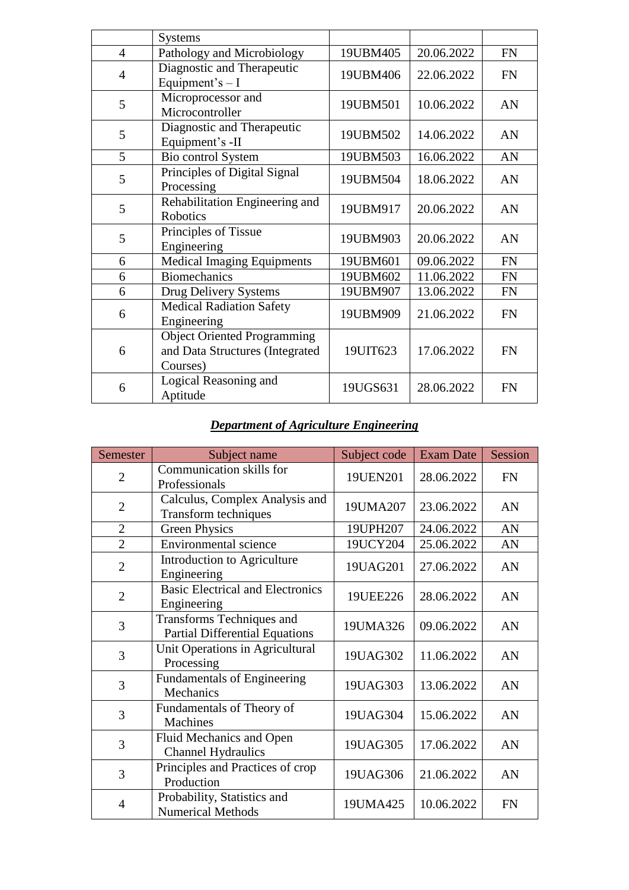|                | <b>Systems</b>                                                                    |          |            |           |
|----------------|-----------------------------------------------------------------------------------|----------|------------|-----------|
| $\overline{4}$ | Pathology and Microbiology                                                        | 19UBM405 | 20.06.2022 | <b>FN</b> |
| $\overline{4}$ | Diagnostic and Therapeutic<br>Equipment's $- I$                                   | 19UBM406 | 22.06.2022 | <b>FN</b> |
| 5              | Microprocessor and<br>Microcontroller                                             | 19UBM501 | 10.06.2022 | AN        |
| 5              | Diagnostic and Therapeutic<br>Equipment's -II                                     | 19UBM502 | 14.06.2022 | AN        |
| 5              | Bio control System                                                                | 19UBM503 | 16.06.2022 | AN        |
| 5              | Principles of Digital Signal<br>Processing                                        | 19UBM504 | 18.06.2022 | AN        |
| 5              | Rehabilitation Engineering and<br><b>Robotics</b>                                 | 19UBM917 | 20.06.2022 | AN        |
| 5              | Principles of Tissue<br>Engineering                                               |          | 20.06.2022 | AN        |
| 6              | <b>Medical Imaging Equipments</b>                                                 | 19UBM601 | 09.06.2022 | <b>FN</b> |
| 6              | <b>Biomechanics</b>                                                               | 19UBM602 | 11.06.2022 | <b>FN</b> |
| 6              | Drug Delivery Systems                                                             | 19UBM907 | 13.06.2022 | <b>FN</b> |
| 6              | <b>Medical Radiation Safety</b><br>Engineering                                    | 19UBM909 | 21.06.2022 | <b>FN</b> |
| 6              | <b>Object Oriented Programming</b><br>and Data Structures (Integrated<br>Courses) |          | 17.06.2022 | <b>FN</b> |
| 6              | Logical Reasoning and<br>Aptitude                                                 | 19UGS631 | 28.06.2022 | <b>FN</b> |

## *Department of Agriculture Engineering*

| Semester       | Subject name                                                       | Subject code | <b>Exam Date</b> | Session   |
|----------------|--------------------------------------------------------------------|--------------|------------------|-----------|
| $\overline{2}$ | Communication skills for<br>Professionals                          | 19UEN201     | 28.06.2022       | <b>FN</b> |
| $\overline{2}$ | Calculus, Complex Analysis and<br>Transform techniques             | 19UMA207     | 23.06.2022       | AN        |
| $\overline{2}$ | <b>Green Physics</b>                                               | 19UPH207     | 24.06.2022       | AN        |
| $\overline{2}$ | <b>Environmental science</b>                                       | 19UCY204     | 25.06.2022       | AN        |
| $\overline{2}$ | Introduction to Agriculture<br>Engineering                         | 19UAG201     | 27.06.2022       | AN        |
| $\overline{2}$ | <b>Basic Electrical and Electronics</b><br>Engineering             | 19UEE226     | 28.06.2022       | AN        |
| 3              | Transforms Techniques and<br><b>Partial Differential Equations</b> | 19UMA326     | 09.06.2022       | AN        |
| 3              | Unit Operations in Agricultural<br>Processing                      | 19UAG302     | 11.06.2022       | AN        |
| 3              | <b>Fundamentals of Engineering</b><br>Mechanics                    | 19UAG303     | 13.06.2022       | AN        |
| 3              | Fundamentals of Theory of<br>Machines                              | 19UAG304     | 15.06.2022       | AN        |
| 3              | Fluid Mechanics and Open<br><b>Channel Hydraulics</b>              | 19UAG305     | 17.06.2022       | AN        |
| 3              | Principles and Practices of crop<br>Production                     | 19UAG306     | 21.06.2022       | AN        |
| $\overline{4}$ | Probability, Statistics and<br><b>Numerical Methods</b>            | 19UMA425     | 10.06.2022       | <b>FN</b> |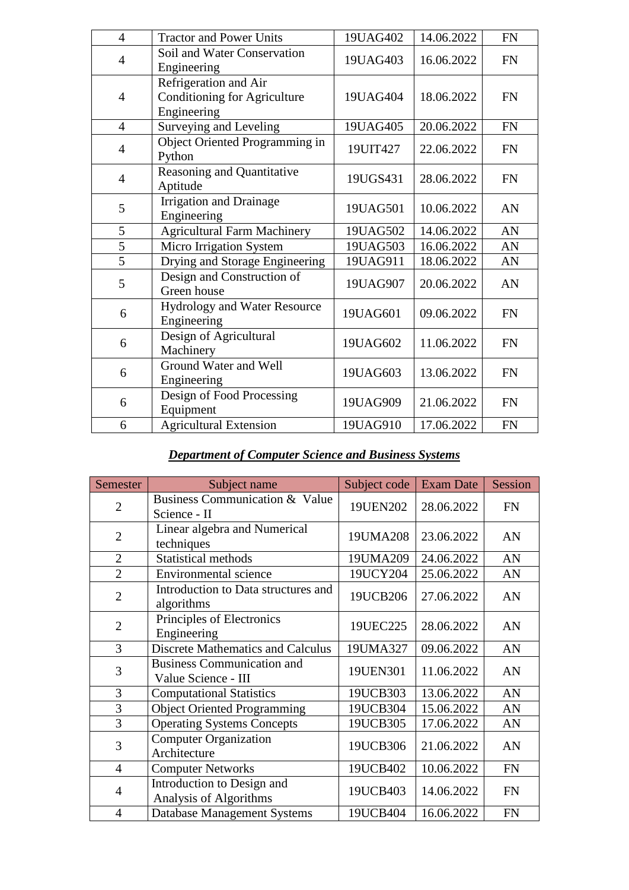| $\overline{4}$ | <b>Tractor and Power Units</b>                                              | 19UAG402 | 14.06.2022 | <b>FN</b> |
|----------------|-----------------------------------------------------------------------------|----------|------------|-----------|
| 4              | Soil and Water Conservation<br>Engineering                                  | 19UAG403 | 16.06.2022 | <b>FN</b> |
| $\overline{4}$ | Refrigeration and Air<br><b>Conditioning for Agriculture</b><br>Engineering | 19UAG404 | 18.06.2022 | <b>FN</b> |
| $\overline{4}$ | Surveying and Leveling                                                      | 19UAG405 | 20.06.2022 | <b>FN</b> |
| 4              | Object Oriented Programming in<br>Python                                    | 19UIT427 | 22.06.2022 | <b>FN</b> |
| $\overline{4}$ | Reasoning and Quantitative<br>Aptitude                                      | 19UGS431 | 28.06.2022 | <b>FN</b> |
| 5              | <b>Irrigation and Drainage</b><br>Engineering                               | 19UAG501 | 10.06.2022 | AN        |
| 5              | <b>Agricultural Farm Machinery</b>                                          | 19UAG502 | 14.06.2022 | AN        |
| 5              | Micro Irrigation System                                                     | 19UAG503 | 16.06.2022 | AN        |
| $\overline{5}$ | Drying and Storage Engineering                                              | 19UAG911 | 18.06.2022 | AN        |
| 5              | Design and Construction of<br>Green house                                   | 19UAG907 | 20.06.2022 | AN        |
| 6              | Hydrology and Water Resource<br>Engineering                                 | 19UAG601 | 09.06.2022 | <b>FN</b> |
| 6              | Design of Agricultural<br>19UAG602<br>Machinery                             |          | 11.06.2022 | <b>FN</b> |
| 6              | Ground Water and Well<br>Engineering                                        | 19UAG603 | 13.06.2022 | <b>FN</b> |
| 6              | Design of Food Processing<br>Equipment                                      | 19UAG909 | 21.06.2022 | <b>FN</b> |
| 6              | <b>Agricultural Extension</b>                                               | 19UAG910 | 17.06.2022 | <b>FN</b> |

## *Department of Computer Science and Business Systems*

| Semester       | Subject name                                             | Subject code | <b>Exam Date</b> | Session   |
|----------------|----------------------------------------------------------|--------------|------------------|-----------|
| $\overline{2}$ | Business Communication & Value<br>Science - II           | 19UEN202     | 28.06.2022       | <b>FN</b> |
| $\overline{2}$ | Linear algebra and Numerical<br>techniques               | 19UMA208     | 23.06.2022       | AN        |
| $\overline{2}$ | <b>Statistical methods</b>                               | 19UMA209     | 24.06.2022       | AN        |
| $\overline{2}$ | <b>Environmental science</b>                             | 19UCY204     | 25.06.2022       | AN        |
| $\overline{2}$ | Introduction to Data structures and<br>algorithms        | 19UCB206     | 27.06.2022       | AN        |
| $\overline{2}$ | Principles of Electronics<br>Engineering                 | 19UEC225     | 28.06.2022       | AN        |
| 3              | <b>Discrete Mathematics and Calculus</b>                 | 19UMA327     | 09.06.2022       | AN        |
| 3              | <b>Business Communication and</b><br>Value Science - III | 19UEN301     | 11.06.2022       | AN        |
| 3              | <b>Computational Statistics</b>                          | 19UCB303     | 13.06.2022       | AN        |
| 3              | <b>Object Oriented Programming</b>                       | 19UCB304     | 15.06.2022       | AN        |
| 3              | <b>Operating Systems Concepts</b>                        | 19UCB305     | 17.06.2022       | AN        |
| 3              | <b>Computer Organization</b><br>Architecture             | 19UCB306     | 21.06.2022       | AN        |
| $\overline{4}$ | <b>Computer Networks</b>                                 | 19UCB402     | 10.06.2022       | <b>FN</b> |
| 4              | Introduction to Design and<br>Analysis of Algorithms     | 19UCB403     | 14.06.2022       | <b>FN</b> |
| $\overline{4}$ | <b>Database Management Systems</b>                       | 19UCB404     | 16.06.2022       | <b>FN</b> |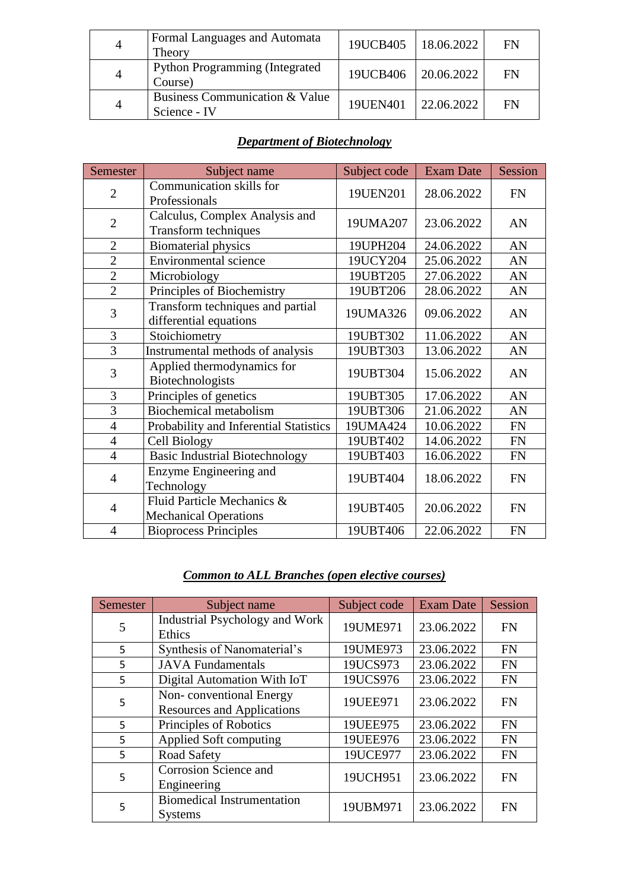| $\overline{4}$ | Formal Languages and Automata<br>Theory           | 19UCB405 | 18.06.2022        | FN |
|----------------|---------------------------------------------------|----------|-------------------|----|
| $\overline{4}$ | <b>Python Programming (Integrated)</b><br>Course) | 19UCB406 | $\mid$ 20.06.2022 | FN |
| 4              | Business Communication & Value<br>Science - IV    | 19UEN401 | 22.06.2022        | FN |

## *Department of Biotechnology*

| Semester       | Subject name                                                  | Subject code | <b>Exam Date</b> | Session   |
|----------------|---------------------------------------------------------------|--------------|------------------|-----------|
| $\overline{2}$ | Communication skills for<br>Professionals                     | 19UEN201     | 28.06.2022       | <b>FN</b> |
| $\overline{2}$ | Calculus, Complex Analysis and<br><b>Transform techniques</b> | 19UMA207     | 23.06.2022       | AN        |
| $\overline{2}$ | <b>Biomaterial physics</b>                                    | 19UPH204     | 24.06.2022       | AN        |
| $\overline{2}$ | <b>Environmental science</b>                                  | 19UCY204     | 25.06.2022       | AN        |
| $\overline{2}$ | Microbiology                                                  | 19UBT205     | 27.06.2022       | AN        |
| $\overline{2}$ | Principles of Biochemistry                                    | 19UBT206     | 28.06.2022       | AN        |
| 3              | Transform techniques and partial<br>differential equations    |              | 09.06.2022       | AN        |
| 3              | Stoichiometry                                                 | 19UBT302     | 11.06.2022       | AN        |
| $\overline{3}$ | Instrumental methods of analysis                              | 19UBT303     | 13.06.2022       | AN        |
| 3              | Applied thermodynamics for<br>Biotechnologists                | 19UBT304     | 15.06.2022       | AN        |
| 3              | Principles of genetics                                        | 19UBT305     | 17.06.2022       | AN        |
| 3              | <b>Biochemical metabolism</b>                                 | 19UBT306     | 21.06.2022       | AN        |
| $\overline{4}$ | Probability and Inferential Statistics                        | 19UMA424     | 10.06.2022       | <b>FN</b> |
| $\overline{4}$ | Cell Biology                                                  | 19UBT402     | 14.06.2022       | <b>FN</b> |
| $\overline{4}$ | <b>Basic Industrial Biotechnology</b>                         | 19UBT403     | 16.06.2022       | <b>FN</b> |
| $\overline{4}$ | Enzyme Engineering and<br>Technology                          | 19UBT404     | 18.06.2022       | <b>FN</b> |
| $\overline{4}$ | Fluid Particle Mechanics &<br><b>Mechanical Operations</b>    | 19UBT405     | 20.06.2022       | <b>FN</b> |
| $\overline{4}$ | <b>Bioprocess Principles</b>                                  | 19UBT406     | 22.06.2022       | <b>FN</b> |

## *Common to ALL Branches (open elective courses)*

| Semester | Subject name                                                 | Subject code | <b>Exam Date</b> | Session   |
|----------|--------------------------------------------------------------|--------------|------------------|-----------|
| 5        | <b>Industrial Psychology and Work</b><br>Ethics              | 19UME971     | 23.06.2022       | <b>FN</b> |
| 5        | Synthesis of Nanomaterial's                                  | 19UME973     | 23.06.2022       | <b>FN</b> |
| 5        | <b>JAVA</b> Fundamentals                                     | 19UCS973     | 23.06.2022       | <b>FN</b> |
| 5        | Digital Automation With IoT                                  | 19UCS976     | 23.06.2022       | <b>FN</b> |
| 5        | Non-conventional Energy<br><b>Resources and Applications</b> | 19UEE971     | 23.06.2022       | <b>FN</b> |
| 5        | Principles of Robotics                                       | 19UEE975     | 23.06.2022       | <b>FN</b> |
| 5        | Applied Soft computing                                       | 19UEE976     | 23.06.2022       | <b>FN</b> |
| 5        | Road Safety                                                  | 19UCE977     | 23.06.2022       | <b>FN</b> |
| 5        | Corrosion Science and<br>Engineering                         | 19UCH951     | 23.06.2022       | <b>FN</b> |
| 5        | <b>Biomedical Instrumentation</b><br><b>Systems</b>          | 19UBM971     | 23.06.2022       | <b>FN</b> |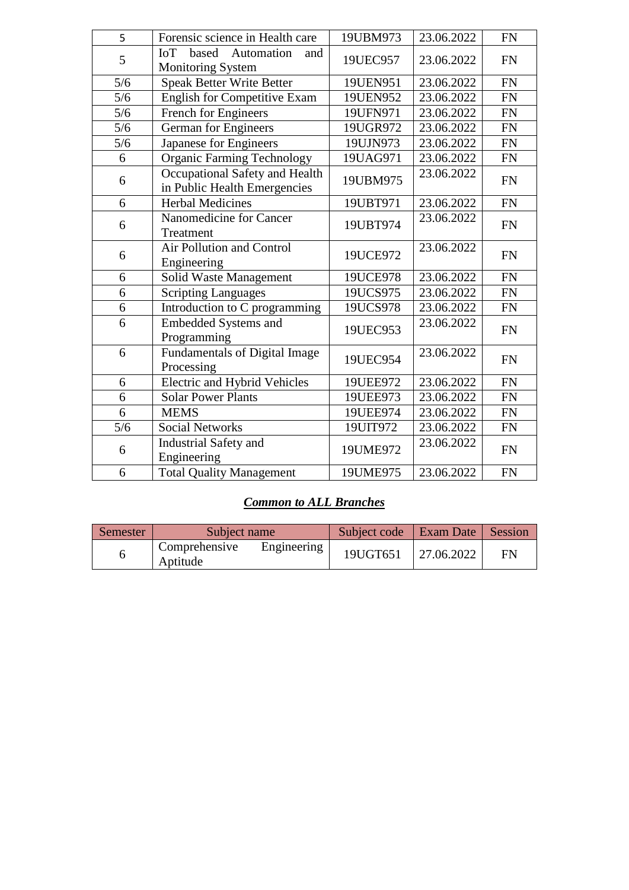| 5     | Forensic science in Health care                                | 19UBM973 | 23.06.2022 | <b>FN</b> |
|-------|----------------------------------------------------------------|----------|------------|-----------|
| 5     | IoT<br>based<br>Automation<br>and<br><b>Monitoring System</b>  | 19UEC957 | 23.06.2022 | <b>FN</b> |
| 5/6   | <b>Speak Better Write Better</b>                               | 19UEN951 | 23.06.2022 | <b>FN</b> |
| 5/6   | <b>English for Competitive Exam</b>                            | 19UEN952 | 23.06.2022 | <b>FN</b> |
| 5/6   | French for Engineers                                           | 19UFN971 | 23.06.2022 | <b>FN</b> |
| $5/6$ | German for Engineers                                           | 19UGR972 | 23.06.2022 | <b>FN</b> |
| 5/6   | Japanese for Engineers                                         | 19UJN973 | 23.06.2022 | <b>FN</b> |
| 6     | <b>Organic Farming Technology</b>                              | 19UAG971 | 23.06.2022 | <b>FN</b> |
| 6     | Occupational Safety and Health<br>in Public Health Emergencies | 19UBM975 | 23.06.2022 | <b>FN</b> |
| 6     | <b>Herbal Medicines</b>                                        | 19UBT971 | 23.06.2022 | <b>FN</b> |
| 6     | Nanomedicine for Cancer<br>Treatment                           | 19UBT974 | 23.06.2022 | <b>FN</b> |
| 6     | Air Pollution and Control<br>Engineering                       | 19UCE972 | 23.06.2022 | <b>FN</b> |
| 6     | Solid Waste Management                                         | 19UCE978 | 23.06.2022 | <b>FN</b> |
| 6     | <b>Scripting Languages</b>                                     | 19UCS975 | 23.06.2022 | <b>FN</b> |
| 6     | Introduction to C programming                                  | 19UCS978 | 23.06.2022 | FN        |
| 6     | <b>Embedded Systems and</b><br>Programming                     | 19UEC953 | 23.06.2022 | <b>FN</b> |
| 6     | Fundamentals of Digital Image<br>Processing                    | 19UEC954 | 23.06.2022 | <b>FN</b> |
| 6     | <b>Electric and Hybrid Vehicles</b>                            | 19UEE972 | 23.06.2022 | <b>FN</b> |
| 6     | <b>Solar Power Plants</b>                                      | 19UEE973 | 23.06.2022 | <b>FN</b> |
| 6     | <b>MEMS</b>                                                    | 19UEE974 | 23.06.2022 | <b>FN</b> |
| 5/6   | <b>Social Networks</b>                                         | 19UIT972 | 23.06.2022 | <b>FN</b> |
| 6     | Industrial Safety and<br>Engineering                           | 19UME972 | 23.06.2022 | <b>FN</b> |
| 6     | <b>Total Quality Management</b>                                | 19UME975 | 23.06.2022 | <b>FN</b> |
|       |                                                                |          |            |           |

#### *Common to ALL Branches*

| Semester | Subject name                           |             | Subject code | Exam Date  | Session |
|----------|----------------------------------------|-------------|--------------|------------|---------|
|          | <sup>1</sup> Comprehensive<br>Aptitude | Engineering | 19UGT651     | 27.06.2022 | FN      |